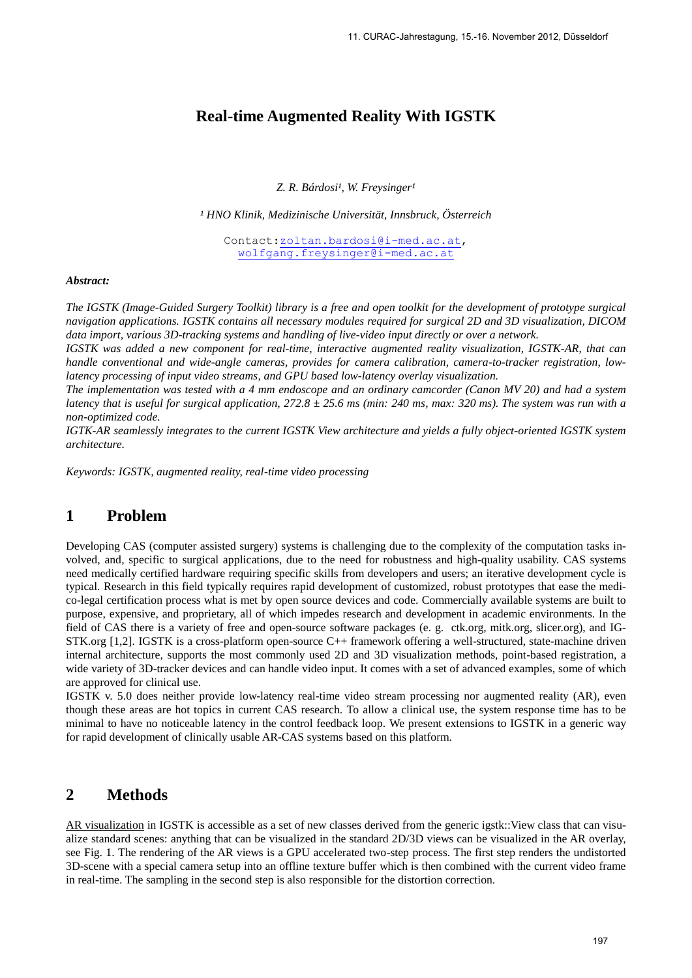## **Real-time Augmented Reality With IGSTK**

**Z. R. Bárdosi<sup>1</sup>, W. Freysinger<sup>1</sup>** 

*¹ HNO Klinik, Medizinische Universität, Innsbruck, Österreich*

Contact[:zoltan.bardosi@i-med.ac.at,](mailto:zoltan.bardosi@i-med.ac.at) [wolfgang.freysinger@i-med.ac.at](mailto:wolfgang.freysinger@i-med.ac.at)

#### *Abstract:*

*The IGSTK (Image-Guided Surgery Toolkit) library is a free and open toolkit for the development of prototype surgical navigation applications. IGSTK contains all necessary modules required for surgical 2D and 3D visualization, DICOM data import, various 3D-tracking systems and handling of live-video input directly or over a network.*

*IGSTK was added a new component for real-time, interactive augmented reality visualization, IGSTK-AR, that can handle conventional and wide-angle cameras, provides for camera calibration, camera-to-tracker registration, lowlatency processing of input video streams, and GPU based low-latency overlay visualization.*

*The implementation was tested with a 4 mm endoscope and an ordinary camcorder (Canon MV 20) and had a system latency that is useful for surgical application, 272.8 ± 25.6 ms (min: 240 ms, max: 320 ms). The system was run with a non-optimized code.*

*IGTK-AR seamlessly integrates to the current IGSTK View architecture and yields a fully object-oriented IGSTK system architecture.*

*Keywords: IGSTK, augmented reality, real-time video processing*

## **1 Problem**

Developing CAS (computer assisted surgery) systems is challenging due to the complexity of the computation tasks involved, and, specific to surgical applications, due to the need for robustness and high-quality usability. CAS systems need medically certified hardware requiring specific skills from developers and users; an iterative development cycle is typical. Research in this field typically requires rapid development of customized, robust prototypes that ease the medico-legal certification process what is met by open source devices and code. Commercially available systems are built to purpose, expensive, and proprietary, all of which impedes research and development in academic environments. In the field of CAS there is a variety of free and open-source software packages (e. g. ctk.org, mitk.org, slicer.org), and IG-STK.org [1,2]. IGSTK is a cross-platform open-source C++ framework offering a well-structured, state-machine driven internal architecture, supports the most commonly used 2D and 3D visualization methods, point-based registration, a wide variety of 3D-tracker devices and can handle video input. It comes with a set of advanced examples, some of which are approved for clinical use.

IGSTK v. 5.0 does neither provide low-latency real-time video stream processing nor augmented reality (AR), even though these areas are hot topics in current CAS research. To allow a clinical use, the system response time has to be minimal to have no noticeable latency in the control feedback loop. We present extensions to IGSTK in a generic way for rapid development of clinically usable AR-CAS systems based on this platform.

# **2 Methods**

AR visualization in IGSTK is accessible as a set of new classes derived from the generic igstk::View class that can visualize standard scenes: anything that can be visualized in the standard 2D/3D views can be visualized in the AR overlay, see Fig. 1. The rendering of the AR views is a GPU accelerated two-step process. The first step renders the undistorted 3D-scene with a special camera setup into an offline texture buffer which is then combined with the current video frame in real-time. The sampling in the second step is also responsible for the distortion correction.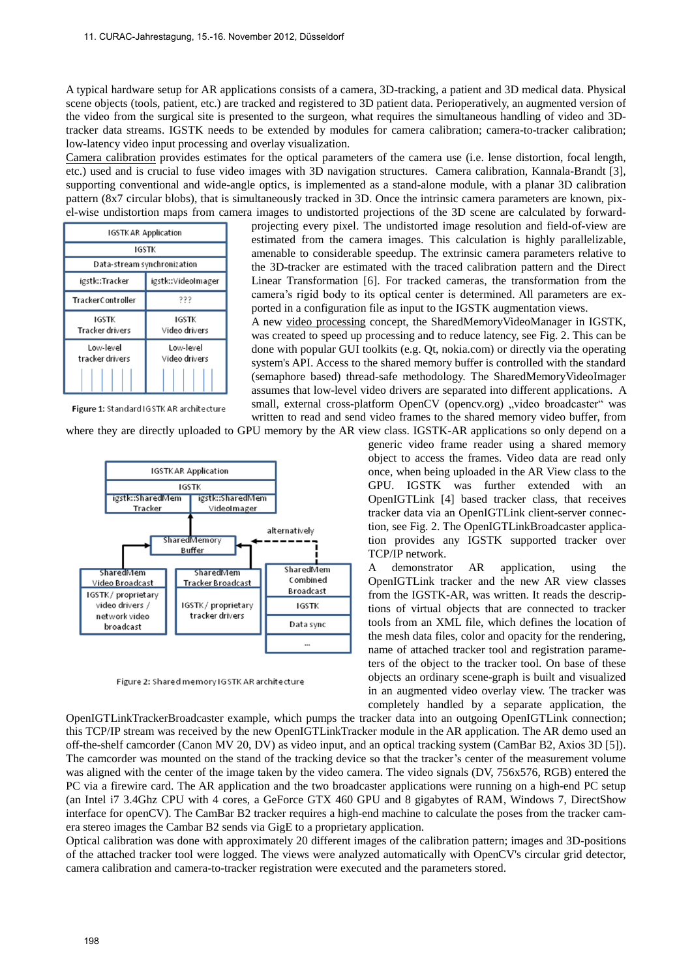A typical hardware setup for AR applications consists of a camera, 3D-tracking, a patient and 3D medical data. Physical scene objects (tools, patient, etc.) are tracked and registered to 3D patient data. Perioperatively, an augmented version of the video from the surgical site is presented to the surgeon, what requires the simultaneous handling of video and 3Dtracker data streams. IGSTK needs to be extended by modules for camera calibration; camera-to-tracker calibration; low-latency video input processing and overlay visualization.

Camera calibration provides estimates for the optical parameters of the camera use (i.e. lense distortion, focal length, etc.) used and is crucial to fuse video images with 3D navigation structures. Camera calibration, Kannala-Brandt [3], supporting conventional and wide-angle optics, is implemented as a stand-alone module, with a planar 3D calibration pattern (8x7 circular blobs), that is simultaneously tracked in 3D. Once the intrinsic camera parameters are known, pixel-wise undistortion maps from camera images to undistorted projections of the 3D scene are calculated by forward-

| <b>IGSTKAR Application</b>             |                             |
|----------------------------------------|-----------------------------|
| IGSTK                                  |                             |
| Data-stream synchronization            |                             |
| igstk::Tracker                         | igstk::VideoImager          |
| TrackerController                      | 222                         |
| <b>IGSTK</b><br><b>Tracker drivers</b> | IGSTK<br>Video drivers      |
| I ow-level<br>tracker drivers          | I ow-level<br>Video drivers |

Figure 1: Standard IGSTK AR architecture

projecting every pixel. The undistorted image resolution and field-of-view are estimated from the camera images. This calculation is highly parallelizable, amenable to considerable speedup. The extrinsic camera parameters relative to the 3D-tracker are estimated with the traced calibration pattern and the Direct Linear Transformation [6]. For tracked cameras, the transformation from the camera's rigid body to its optical center is determined. All parameters are exported in a configuration file as input to the IGSTK augmentation views.

A new video processing concept, the SharedMemoryVideoManager in IGSTK, was created to speed up processing and to reduce latency, see Fig. 2. This can be done with popular GUI toolkits (e.g. Qt, nokia.com) or directly via the operating system's API. Access to the shared memory buffer is controlled with the standard (semaphore based) thread-safe methodology. The SharedMemoryVideoImager assumes that low-level video drivers are separated into different applications. A small, external cross-platform OpenCV (opency.org) "video broadcaster" was written to read and send video frames to the shared memory video buffer, from

where they are directly uploaded to GPU memory by the AR view class. IGSTK-AR applications so only depend on a



Figure 2: Shared memory IGSTK AR architecture

generic video frame reader using a shared memory object to access the frames. Video data are read only once, when being uploaded in the AR View class to the GPU. IGSTK was further extended with an OpenIGTLink [4] based tracker class, that receives tracker data via an OpenIGTLink client-server connection, see Fig. 2. The OpenIGTLinkBroadcaster application provides any IGSTK supported tracker over TCP/IP network.

A demonstrator AR application, using the OpenIGTLink tracker and the new AR view classes from the IGSTK-AR, was written. It reads the descriptions of virtual objects that are connected to tracker tools from an XML file, which defines the location of the mesh data files, color and opacity for the rendering, name of attached tracker tool and registration parameters of the object to the tracker tool. On base of these objects an ordinary scene-graph is built and visualized in an augmented video overlay view. The tracker was completely handled by a separate application, the

OpenIGTLinkTrackerBroadcaster example, which pumps the tracker data into an outgoing OpenIGTLink connection; this TCP/IP stream was received by the new OpenIGTLinkTracker module in the AR application. The AR demo used an off-the-shelf camcorder (Canon MV 20, DV) as video input, and an optical tracking system (CamBar B2, Axios 3D [5]). The camcorder was mounted on the stand of the tracking device so that the tracker's center of the measurement volume was aligned with the center of the image taken by the video camera. The video signals (DV, 756x576, RGB) entered the PC via a firewire card. The AR application and the two broadcaster applications were running on a high-end PC setup (an Intel i7 3.4Ghz CPU with 4 cores, a GeForce GTX 460 GPU and 8 gigabytes of RAM, Windows 7, DirectShow interface for openCV). The CamBar B2 tracker requires a high-end machine to calculate the poses from the tracker camera stereo images the Cambar B2 sends via GigE to a proprietary application.

Optical calibration was done with approximately 20 different images of the calibration pattern; images and 3D-positions of the attached tracker tool were logged. The views were analyzed automatically with OpenCV's circular grid detector, camera calibration and camera-to-tracker registration were executed and the parameters stored.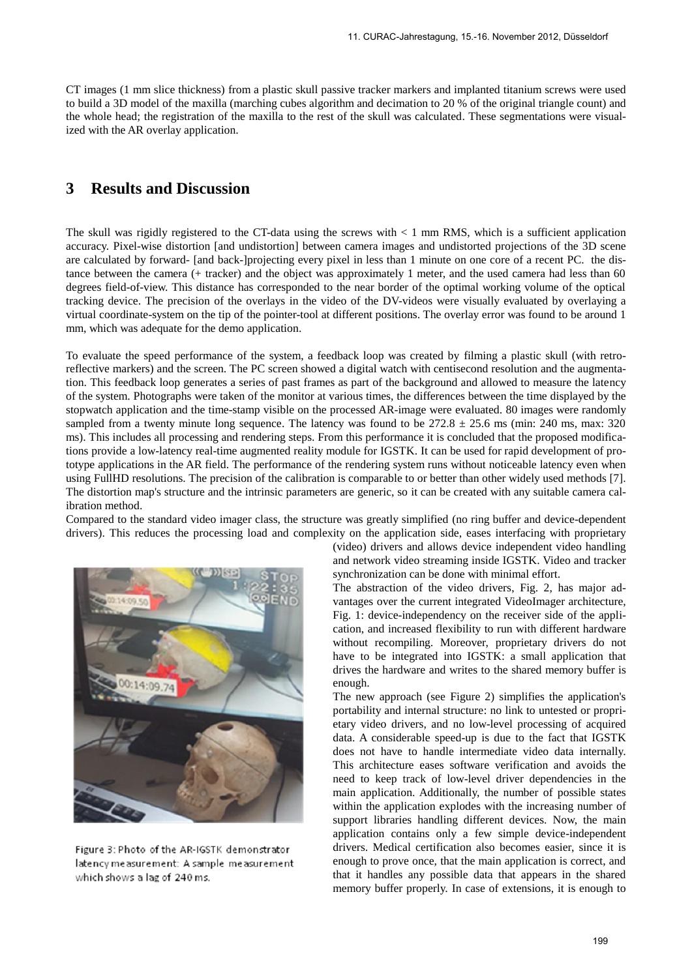CT images (1 mm slice thickness) from a plastic skull passive tracker markers and implanted titanium screws were used to build a 3D model of the maxilla (marching cubes algorithm and decimation to 20 % of the original triangle count) and the whole head; the registration of the maxilla to the rest of the skull was calculated. These segmentations were visualized with the AR overlay application.

### **3 Results and Discussion**

The skull was rigidly registered to the CT-data using the screws with < 1 mm RMS, which is a sufficient application accuracy. Pixel-wise distortion [and undistortion] between camera images and undistorted projections of the 3D scene are calculated by forward- [and back-]projecting every pixel in less than 1 minute on one core of a recent PC. the distance between the camera (+ tracker) and the object was approximately 1 meter, and the used camera had less than 60 degrees field-of-view. This distance has corresponded to the near border of the optimal working volume of the optical tracking device. The precision of the overlays in the video of the DV-videos were visually evaluated by overlaying a virtual coordinate-system on the tip of the pointer-tool at different positions. The overlay error was found to be around 1 mm, which was adequate for the demo application.

To evaluate the speed performance of the system, a feedback loop was created by filming a plastic skull (with retroreflective markers) and the screen. The PC screen showed a digital watch with centisecond resolution and the augmentation. This feedback loop generates a series of past frames as part of the background and allowed to measure the latency of the system. Photographs were taken of the monitor at various times, the differences between the time displayed by the stopwatch application and the time-stamp visible on the processed AR-image were evaluated. 80 images were randomly sampled from a twenty minute long sequence. The latency was found to be  $272.8 \pm 25.6$  ms (min: 240 ms, max: 320) ms). This includes all processing and rendering steps. From this performance it is concluded that the proposed modifications provide a low-latency real-time augmented reality module for IGSTK. It can be used for rapid development of prototype applications in the AR field. The performance of the rendering system runs without noticeable latency even when using FullHD resolutions. The precision of the calibration is comparable to or better than other widely used methods [7]. The distortion map's structure and the intrinsic parameters are generic, so it can be created with any suitable camera calibration method.

Compared to the standard video imager class, the structure was greatly simplified (no ring buffer and device-dependent drivers). This reduces the processing load and complexity on the application side, eases interfacing with proprietary



Figure 3: Photo of the AR-IGSTK demonstrator latency measurement: A sample measurement which shows a lag of 240 ms.

(video) drivers and allows device independent video handling and network video streaming inside IGSTK. Video and tracker synchronization can be done with minimal effort.

The abstraction of the video drivers, Fig. 2, has major advantages over the current integrated VideoImager architecture, Fig. 1: device-independency on the receiver side of the application, and increased flexibility to run with different hardware without recompiling. Moreover, proprietary drivers do not have to be integrated into IGSTK: a small application that drives the hardware and writes to the shared memory buffer is enough.

The new approach (see Figure 2) simplifies the application's portability and internal structure: no link to untested or proprietary video drivers, and no low-level processing of acquired data. A considerable speed-up is due to the fact that IGSTK does not have to handle intermediate video data internally. This architecture eases software verification and avoids the need to keep track of low-level driver dependencies in the main application. Additionally, the number of possible states within the application explodes with the increasing number of support libraries handling different devices. Now, the main application contains only a few simple device-independent drivers. Medical certification also becomes easier, since it is enough to prove once, that the main application is correct, and that it handles any possible data that appears in the shared memory buffer properly. In case of extensions, it is enough to